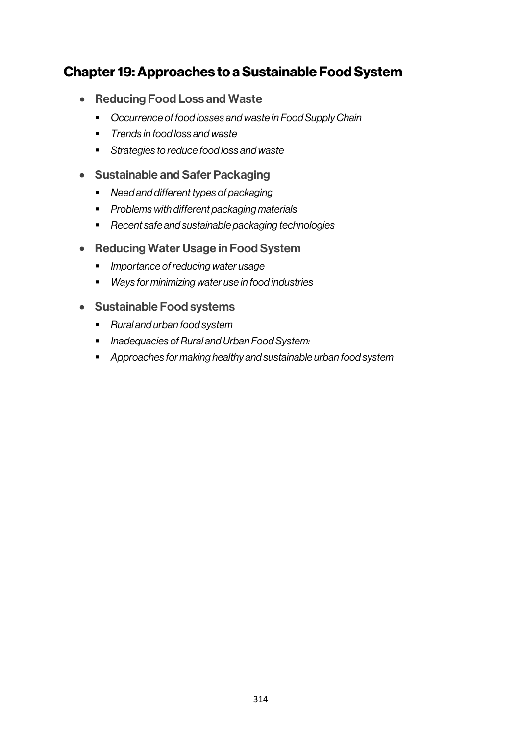# Chapter 19: Approaches to a Sustainable Food System

- Reducing Food Loss and Waste
	- § *Occurrence of food losses and waste in Food Supply Chain*
	- § *Trends in food loss and waste*
	- § *Strategies to reduce food loss and waste*
- Sustainable and Safer Packaging
	- *Need and different types of packaging*
	- § *Problems with different packaging materials*
	- § *Recent safe and sustainable packaging technologies*
- Reducing Water Usage in Food System
	- § *Importance of reducing water usage*
	- *Ways for minimizing water use in food industries*

## • Sustainable Food systems

- § *Rural and urban food system*
- *Inadequacies of Rural and Urban Food System:*
- § *Approaches for making healthy and sustainable urban food system*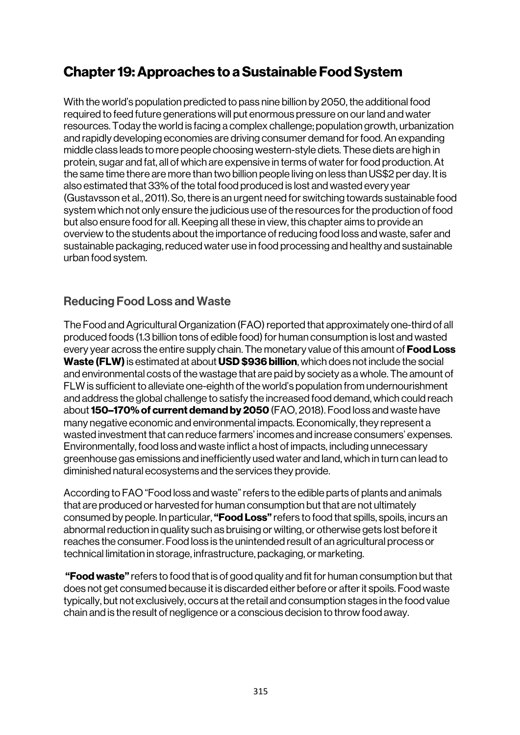# Chapter 19: Approaches to a Sustainable Food System

With the world's population predicted to pass nine billion by 2050, the additional food required to feed future generations will put enormous pressure on our land and water resources. Today the world is facing a complex challenge; population growth, urbanization and rapidly developing economies are driving consumer demand for food. An expanding middle class leads to more people choosing western-style diets. These diets are high in protein, sugar and fat, all of which are expensive in terms of water for food production. At the same time there are more than two billion people living on less than US\$2 per day. It is also estimated that 33% of the total food produced is lost and wasted every year (Gustavsson et al., 2011). So, there is an urgent need for switching towards sustainable food system which not only ensure the judicious use of the resources for the production of food but also ensure food for all. Keeping all these in view, this chapter aims to provide an overview to the students about the importance of reducing food loss and waste, safer and sustainable packaging, reduced water use in food processing and healthy and sustainable urban food system.

# Reducing Food Loss and Waste

The Food and Agricultural Organization (FAO) reported that approximately one-third of all produced foods (1.3 billion tons of edible food) for human consumption is lost and wasted every year across the entire supply chain. The monetary value of this amount of **Food Loss** Waste (FLW) is estimated at about USD \$936 billion, which does not include the social and environmental costs of the wastage that are paid by society as a whole. The amount of FLW is sufficient to alleviate one-eighth of the world's population from undernourishment and address the global challenge to satisfy the increased food demand, which could reach about 150–170% of current demand by 2050(FAO, 2018). Food loss and waste have many negative economic and environmental impacts. Economically, they represent a wasted investment that can reduce farmers' incomes and increase consumers' expenses. Environmentally, food loss and waste inflict a host of impacts, including unnecessary greenhouse gas emissions and inefficiently used water and land, which in turn can lead to diminished natural ecosystems and the services they provide.

According to FAO"Food loss and waste" refers to the edible parts of plants and animals that are produced or harvested for human consumption but that are not ultimately consumed by people. In particular, "**Food Loss**" refers to food that spills, spoils, incurs an abnormal reduction in quality such as bruising or wilting, or otherwise gets lost before it reaches the consumer. Food loss is the unintended result of an agricultural process or technical limitation in storage, infrastructure, packaging, or marketing.

**"Food waste"** refers to food that is of good quality and fit for human consumption but that does not get consumed because it is discarded either before or after it spoils. Food waste typically, but not exclusively, occurs at the retail and consumption stages in the food value chain and is the result of negligence or a conscious decision to throw food away.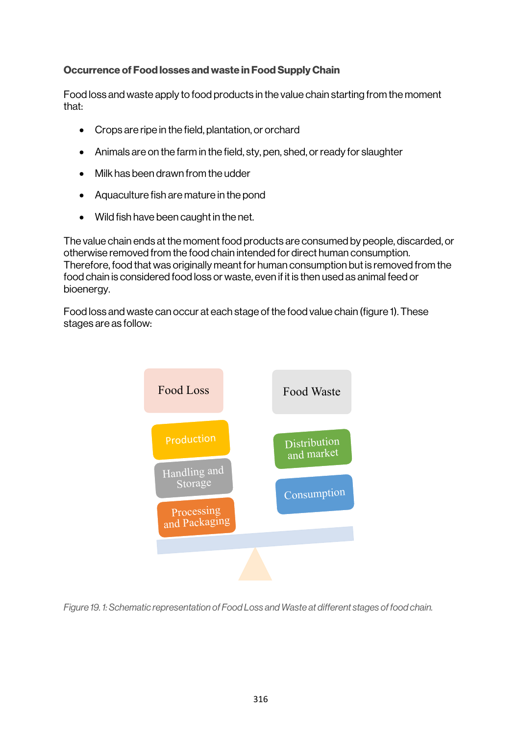## Occurrence of Food losses and waste in Food Supply Chain

Food loss and waste apply to food products in the value chain starting from the moment that:

- Crops are ripe in the field, plantation, or orchard
- Animals are on the farm in the field, sty, pen, shed, or ready for slaughter
- Milk has been drawn from the udder
- Aquaculture fish are mature in the pond
- Wild fish have been caught in the net.

The value chain ends at the moment food products are consumed by people, discarded, or otherwise removed from the food chain intended for direct human consumption. Therefore, food that was originally meant for human consumption but is removed from the food chain is considered food loss or waste, even if it is then used as animal feed or bioenergy.

Food loss and waste can occur at each stage of the food value chain (figure 1). These stages are as follow:



*Figure 19. 1: Schematic representation of Food Loss and Waste at different stages of food chain.*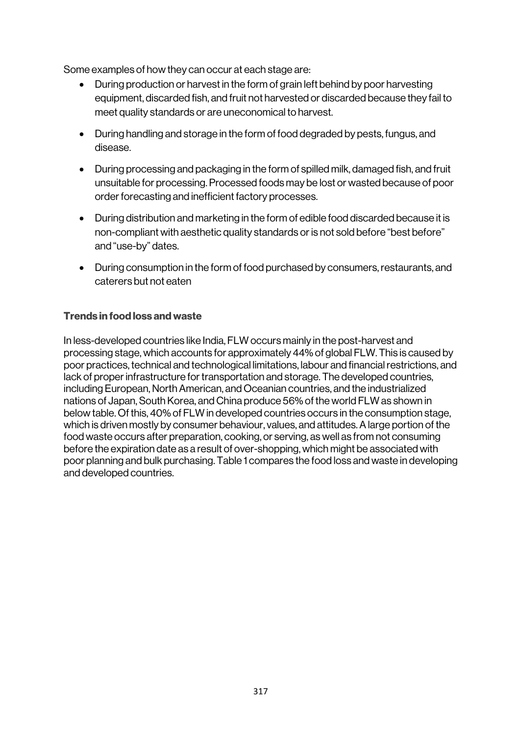Some examples of how they can occur at each stage are:

- During production or harvest in the form of grain left behind by poor harvesting equipment, discarded fish, and fruit not harvested or discarded because they fail to meet quality standards or are uneconomical to harvest.
- During handling and storage in the form of food degraded by pests, fungus, and disease.
- During processing and packaging in the form of spilled milk, damaged fish, and fruit unsuitable for processing. Processed foods may be lost or wasted because of poor order forecasting and inefficient factory processes.
- During distribution and marketing in the form of edible food discarded because it is non-compliant with aesthetic quality standards or is not sold before "best before" and "use-by" dates.
- During consumption in the form of food purchased by consumers, restaurants, and caterers but not eaten

## Trends in food loss and waste

In less-developed countries like India, FLW occurs mainly in the post-harvest and processing stage, which accounts for approximately 44% of global FLW. This is caused by poor practices, technical and technological limitations, labour and financial restrictions, and lack of proper infrastructure for transportation and storage. The developed countries, including European, North American, and Oceanian countries, and the industrialized nations of Japan, South Korea, and China produce 56% of the world FLW as shown in below table. Of this, 40% of FLW in developed countries occurs in the consumption stage, which is driven mostly by consumer behaviour, values, and attitudes. A large portion of the food waste occurs after preparation, cooking, or serving, as well as from not consuming before the expiration date as a result of over-shopping, which might be associated with poor planning and bulk purchasing. Table 1 compares the food loss and waste in developing and developed countries.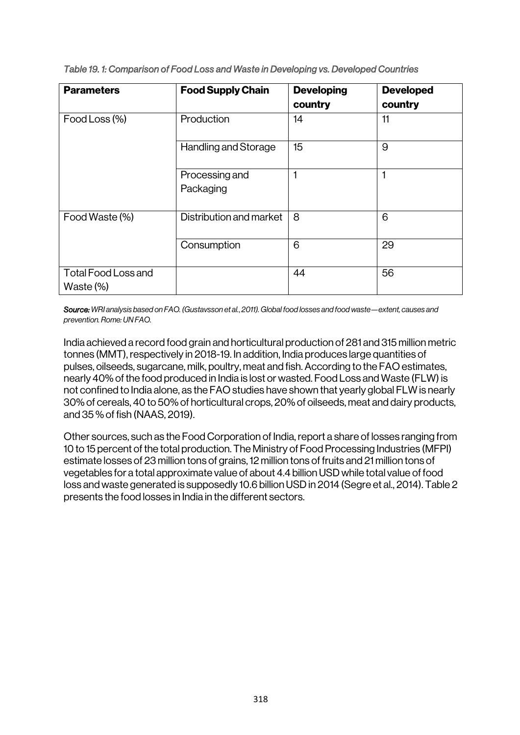| <b>Parameters</b>                          | <b>Food Supply Chain</b>    | <b>Developing</b><br>country | <b>Developed</b><br>country |
|--------------------------------------------|-----------------------------|------------------------------|-----------------------------|
| Food Loss (%)                              | Production                  | 14                           | 11                          |
|                                            | Handling and Storage        | 15                           | 9                           |
|                                            | Processing and<br>Packaging | 1                            | 1                           |
| Food Waste (%)                             | Distribution and market     | 8                            | 6                           |
|                                            | Consumption                 | 6                            | 29                          |
| <b>Total Food Loss and</b><br>Waste $(\%)$ |                             | 44                           | 56                          |

*Table 19. 1: Comparison of Food Loss and Waste in Developing vs. Developed Countries* 

*Source: WRI analysis based on FAO. (Gustavsson et al.*, *2011). Global food losses and food waste—extent, causes and prevention. Rome: UN FAO.*

India achieved a record food grain and horticultural production of 281 and 315 million metric tonnes (MMT), respectively in 2018-19. In addition, India produces large quantities of pulses, oilseeds, sugarcane, milk, poultry, meat and fish. According to the FAO estimates, nearly 40% of the food produced in India is lost or wasted. Food Loss and Waste (FLW) is not confined to India alone, as the FAO studies have shown that yearly global FLW is nearly 30% of cereals, 40 to 50% of horticultural crops, 20% of oilseeds, meat and dairy products, and 35 % of fish (NAAS, 2019).

Other sources, such as the Food Corporation of India, report a share of losses ranging from 10 to 15 percent of the total production. The Ministry of Food Processing Industries (MFPI) estimate losses of 23 million tons of grains, 12 million tons of fruits and 21 million tons of vegetables for a total approximate value of about 4.4 billion USD while total value of food loss and waste generated is supposedly 10.6 billion USD in 2014 (Segre et al., 2014). Table 2 presents the food losses in India in the different sectors.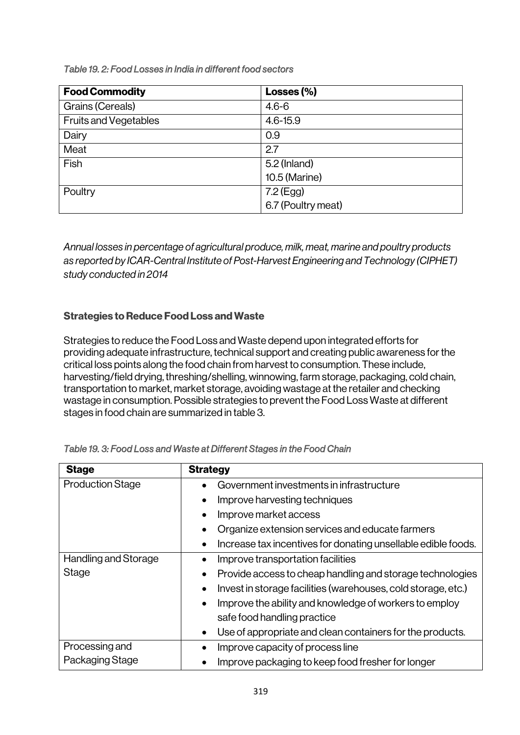*Table 19. 2: Food Losses in India in different food sectors* 

| <b>Food Commodity</b>        | Losses $(\% )$     |
|------------------------------|--------------------|
| Grains (Cereals)             | $4.6 - 6$          |
| <b>Fruits and Vegetables</b> | $4.6 - 15.9$       |
| Dairy                        | 0.9                |
| Meat                         | 2.7                |
| Fish                         | $5.2$ (Inland)     |
|                              | 10.5 (Marine)      |
| Poultry                      | 7.2 (Egg)          |
|                              | 6.7 (Poultry meat) |

*Annual losses in percentage of agricultural produce, milk, meat, marine and poultry products as reported by ICAR-Central Institute of Post-Harvest Engineering and Technology (CIPHET) study conducted in 2014*

# Strategies to Reduce Food Loss and Waste

Strategies to reduce the Food Loss and Waste depend upon integrated efforts for providing adequate infrastructure, technical support and creating public awareness for the critical loss points along the food chain from harvest to consumption. These include, harvesting/field drying, threshing/shelling, winnowing, farm storage, packaging, cold chain, transportation to market, market storage, avoiding wastage at the retailer and checking wastage in consumption. Possible strategies to prevent the Food Loss Waste at different stages in food chain are summarized in table 3.

| <b>Stage</b>            | <b>Strategy</b>                                                            |
|-------------------------|----------------------------------------------------------------------------|
| <b>Production Stage</b> | Government investments in infrastructure                                   |
|                         | Improve harvesting techniques                                              |
|                         | Improve market access                                                      |
|                         | Organize extension services and educate farmers                            |
|                         | Increase tax incentives for donating unsellable edible foods.<br>$\bullet$ |
| Handling and Storage    | Improve transportation facilities                                          |
| Stage                   | Provide access to cheap handling and storage technologies<br>$\bullet$     |
|                         | Invest in storage facilities (warehouses, cold storage, etc.)<br>$\bullet$ |
|                         | Improve the ability and knowledge of workers to employ<br>$\bullet$        |
|                         | safe food handling practice                                                |
|                         | Use of appropriate and clean containers for the products.                  |
| Processing and          | Improve capacity of process line                                           |
| Packaging Stage         | Improve packaging to keep food fresher for longer                          |

*Table 19. 3: Food Loss and Waste at Different Stages in the Food Chain*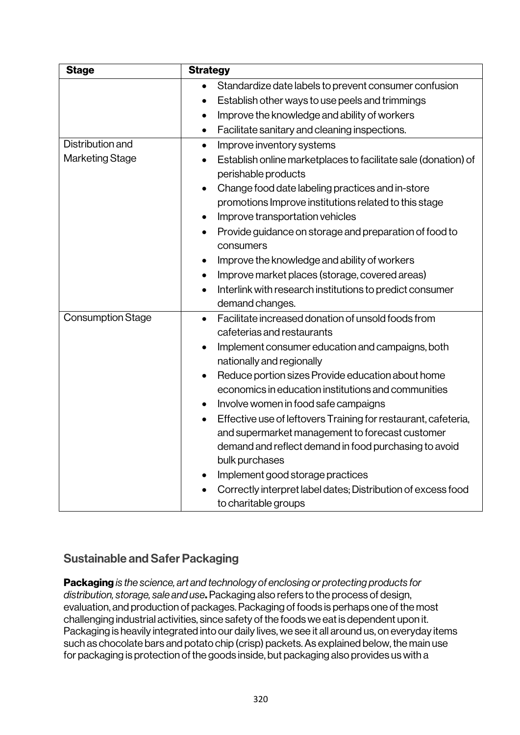| <b>Stage</b>             | <b>Strategy</b>                                                                                                                                                                                           |  |
|--------------------------|-----------------------------------------------------------------------------------------------------------------------------------------------------------------------------------------------------------|--|
|                          | Standardize date labels to prevent consumer confusion<br>$\bullet$                                                                                                                                        |  |
|                          | Establish other ways to use peels and trimmings<br>٠                                                                                                                                                      |  |
|                          | Improve the knowledge and ability of workers<br>$\bullet$                                                                                                                                                 |  |
|                          | Facilitate sanitary and cleaning inspections.<br>$\bullet$                                                                                                                                                |  |
| Distribution and         | Improve inventory systems<br>$\bullet$                                                                                                                                                                    |  |
| Marketing Stage          | Establish online marketplaces to facilitate sale (donation) of                                                                                                                                            |  |
|                          | perishable products                                                                                                                                                                                       |  |
|                          | Change food date labeling practices and in-store                                                                                                                                                          |  |
|                          | promotions Improve institutions related to this stage                                                                                                                                                     |  |
|                          | Improve transportation vehicles<br>٠                                                                                                                                                                      |  |
|                          | Provide guidance on storage and preparation of food to<br>consumers                                                                                                                                       |  |
|                          | Improve the knowledge and ability of workers                                                                                                                                                              |  |
|                          | Improve market places (storage, covered areas)                                                                                                                                                            |  |
|                          | Interlink with research institutions to predict consumer                                                                                                                                                  |  |
|                          | demand changes.                                                                                                                                                                                           |  |
| <b>Consumption Stage</b> | Facilitate increased donation of unsold foods from<br>$\bullet$                                                                                                                                           |  |
|                          | cafeterias and restaurants                                                                                                                                                                                |  |
|                          | Implement consumer education and campaigns, both<br>$\bullet$<br>nationally and regionally                                                                                                                |  |
|                          | Reduce portion sizes Provide education about home                                                                                                                                                         |  |
|                          | economics in education institutions and communities                                                                                                                                                       |  |
|                          | Involve women in food safe campaigns                                                                                                                                                                      |  |
|                          | Effective use of leftovers Training for restaurant, cafeteria,<br>$\bullet$<br>and supermarket management to forecast customer<br>demand and reflect demand in food purchasing to avoid<br>bulk purchases |  |
|                          | Implement good storage practices                                                                                                                                                                          |  |
|                          | Correctly interpret label dates; Distribution of excess food                                                                                                                                              |  |
|                          | to charitable groups                                                                                                                                                                                      |  |

# Sustainable and Safer Packaging

Packaging *is the science, art and technology of enclosing or protecting products for distribution, storage, sale and use*. Packaging also refers to the process of design, evaluation, and production of packages. Packaging of foods is perhaps one of the most challenging industrial activities, since safety of the foods we eat is dependent upon it. Packaging is heavily integrated into our daily lives, we see it all around us, on everyday items such as chocolate bars and potato chip (crisp) packets. As explained below, the main use for packaging is protection of the goods inside, but packaging also provides us with a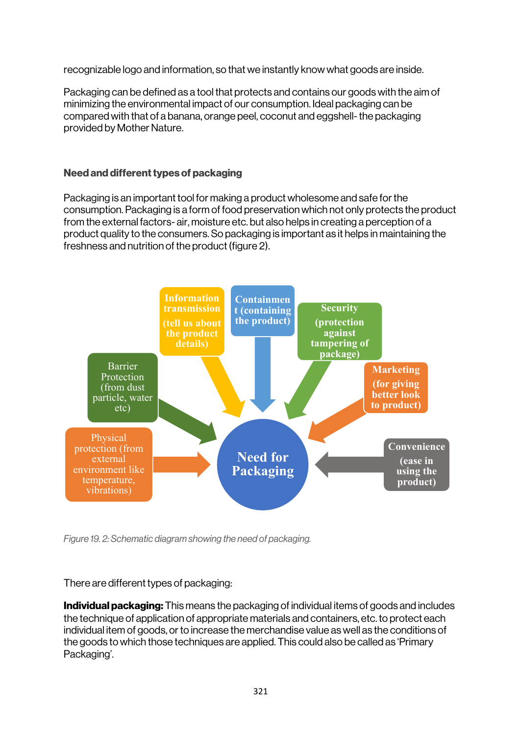recognizable logo and information, so that we instantly know what goods are inside.

Packaging can be defined as a tool that protects and contains our goods with the aim of minimizing the environmental impact of our consumption. Ideal packaging can be compared with that of a banana, orange peel, coconut and eggshell-the packaging provided by Mother Nature.

### Need and different types of packaging

Packaging is an important tool for making a product wholesome and safe for the consumption. Packaging is a form of food preservation which not only protects the product from the external factors- air, moisture etc. but also helps in creating a perception of a product quality to the consumers. So packaging is important as it helps in maintaining the freshness and nutrition of the product (figure 2).



*Figure 19. 2: Schematic diagram showing the need of packaging.*

There are different types of packaging:

Individual packaging: This means the packaging of individual items of goods and includes the technique of application of appropriate materials and containers, etc. to protect each individual item of goods, or to increase the merchandise value as well as the conditions of the goods to which those techniques are applied. This could also be called as 'Primary Packaging'.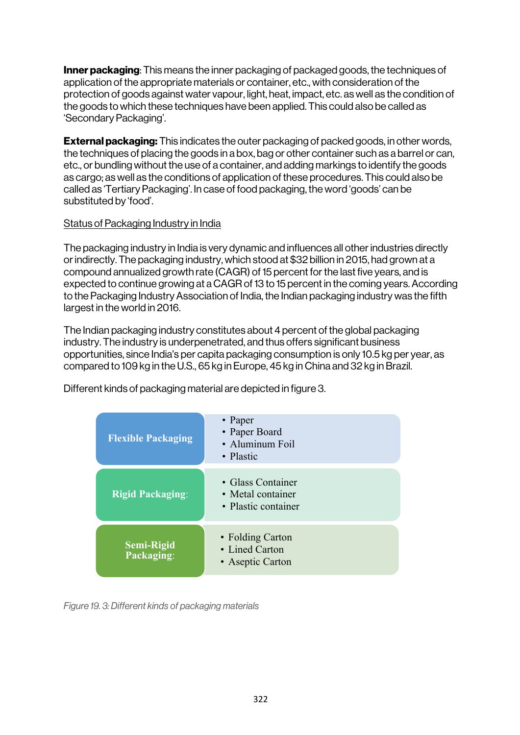**Inner packaging**: This means the inner packaging of packaged goods, the techniques of application of the appropriate materials or container, etc., with consideration of the protection of goods against water vapour, light, heat, impact, etc. as well as the condition of the goods to which these techniques have been applied. This could also be called as 'Secondary Packaging'.

**External packaging:** This indicates the outer packaging of packed goods, in other words, the techniques of placing the goods in a box, bag or other container such as a barrel or can, etc., or bundling without the use of a container, and adding markings to identify the goods as cargo; as well as the conditions of application of these procedures. This could also be called as 'Tertiary Packaging'. In case of food packaging, the word 'goods' can be substituted by 'food'.

#### Status of Packaging Industry in India

The packaging industry in India is very dynamic and influences all other industries directly or indirectly. The packaging industry, which stood at \$32 billion in 2015, had grown at a compound annualized growth rate (CAGR) of 15 percent for the last five years, and is expected to continue growing at a CAGR of 13 to 15 percent in the coming years. According to the Packaging Industry Association of India, the Indian packaging industry was the fifth largest in the world in 2016.

The Indian packaging industry constitutes about 4 percent of the global packaging industry. The industry is underpenetrated, and thus offers significant business opportunities, since India's per capita packaging consumption is only 10.5 kg per year, as compared to 109 kg in the U.S., 65 kg in Europe, 45 kg in China and 32 kg in Brazil.

Different kinds of packaging material are depicted in figure 3.

| <b>Flexible Packaging</b>       | • Paper<br>• Paper Board<br>• Aluminum Foil<br>• Plastic      |
|---------------------------------|---------------------------------------------------------------|
| <b>Rigid Packaging:</b>         | • Glass Container<br>• Metal container<br>• Plastic container |
| <b>Semi-Rigid</b><br>Packaging: | • Folding Carton<br>• Lined Carton<br>• Aseptic Carton        |

*Figure 19. 3: Different kinds of packaging materials*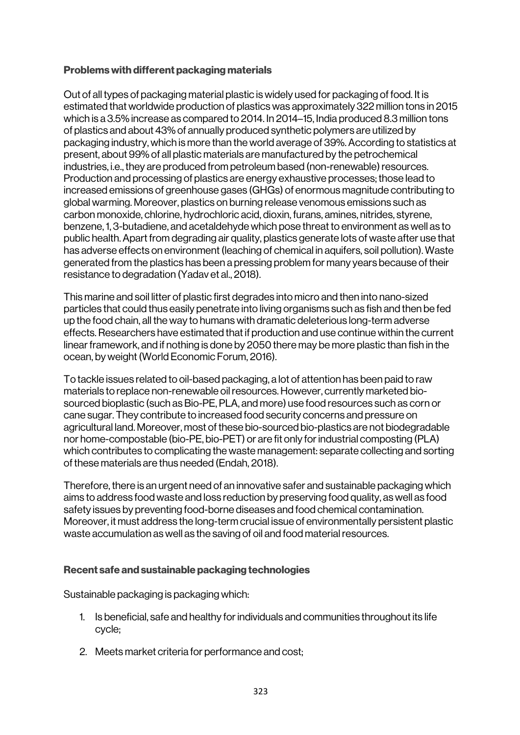#### Problems with different packaging materials

Out of all types of packaging material plastic is widely used for packaging of food. It is estimated that worldwide production of plastics was approximately 322 million tons in 2015 which is a 3.5% increase as compared to 2014. In 2014–15, India produced 8.3 million tons of plastics and about 43% of annually produced synthetic polymers are utilized by packaging industry, which is more than the world average of 39%. According to statistics at present, about 99% of all plastic materials are manufactured by the petrochemical industries, i.e., they are produced from petroleum based (non-renewable) resources. Production and processing of plastics are energy exhaustive processes; those lead to increased emissions of greenhouse gases (GHGs) of enormous magnitude contributing to global warming. Moreover, plastics on burning release venomous emissions such as carbon monoxide, chlorine, hydrochloric acid, dioxin, furans, amines, nitrides, styrene, benzene, 1, 3-butadiene, and acetaldehyde which pose threat to environment as well as to public health. Apart from degrading air quality, plastics generate lots of waste after use that has adverse effects on environment (leaching of chemical in aquifers, soil pollution). Waste generated from the plastics has been a pressing problem for many years because of their resistance to degradation (Yadav et al., 2018).

This marine and soil litter of plastic first degrades into micro and then into nano-sized particles that could thus easily penetrate into living organisms such as fish and then be fed up the food chain, all the way to humans with dramatic deleterious long-term adverse effects. Researchers have estimated that if production and use continue within the current linear framework, and if nothing is done by 2050 there may be more plastic than fish in the ocean, by weight (World Economic Forum, 2016).

To tackle issues related to oil-based packaging, a lot of attention has been paid to raw materials to replace non-renewable oil resources. However, currently marketed biosourced bioplastic (such as Bio-PE, PLA, and more) use food resources such as corn or cane sugar. They contribute to increased food security concerns and pressure on agricultural land. Moreover, most of these bio-sourced bio-plastics are not biodegradable nor home-compostable (bio-PE, bio-PET) or are fit only for industrial composting (PLA) which contributes to complicating the waste management: separate collecting and sorting of these materials are thus needed (Endah, 2018).

Therefore, there is an urgent need of an innovative safer and sustainable packaging which aims to address food waste and loss reduction by preserving food quality, as well as food safety issues by preventing food-borne diseases and food chemical contamination. Moreover, it must address the long-term crucial issue of environmentally persistent plastic waste accumulation as well as the saving of oil and food material resources.

## Recent safe and sustainable packaging technologies

Sustainable packaging is packaging which:

- 1. Is beneficial, safe and healthy for individuals and communities throughout its life cycle;
- 2. Meets market criteria for performance and cost;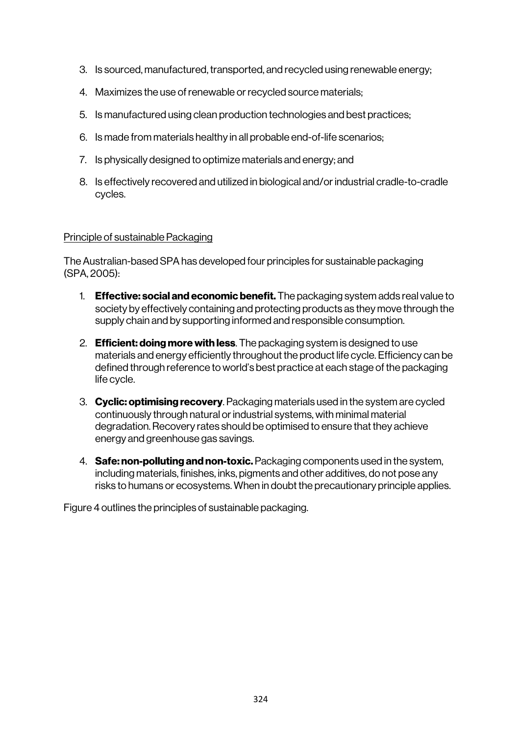- 3. Is sourced, manufactured, transported, and recycled using renewable energy;
- 4. Maximizes the use of renewable or recycled source materials;
- 5. Is manufactured using clean production technologies and best practices;
- 6. Is made from materials healthy in all probable end-of-life scenarios;
- 7. Is physically designed to optimize materials and energy; and
- 8. Is effectively recovered and utilized in biological and/or industrial cradle-to-cradle cycles.

#### Principle of sustainable Packaging

The Australian-based SPA has developed four principles for sustainable packaging (SPA, 2005):

- 1. **Effective: social and economic benefit.** The packaging system adds real value to society by effectively containing and protecting products as they move through the supply chain and by supporting informed and responsible consumption.
- 2. **Efficient: doing more with less**. The packaging system is designed to use materials and energy efficiently throughout the product life cycle. Efficiency can be defined through reference to world's best practice at each stage of the packaging life cycle.
- 3. Cyclic: optimising recovery. Packaging materials used in the system are cycled continuously through natural or industrial systems, with minimal material degradation. Recovery rates should be optimised to ensure that they achieve energy and greenhouse gas savings.
- 4. **Safe: non-polluting and non-toxic.** Packaging components used in the system, including materials, finishes, inks, pigments and other additives, do not pose any risks to humans or ecosystems. When in doubt the precautionary principle applies.

Figure 4 outlines the principles of sustainable packaging.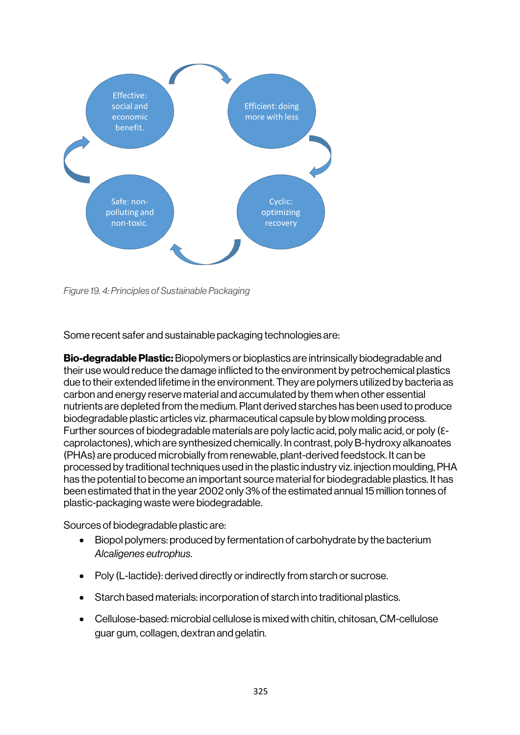

*Figure 19. 4: Principles of Sustainable Packaging*

Some recent safer and sustainable packaging technologies are:

Bio-degradable Plastic: Biopolymers or bioplastics are intrinsically biodegradable and their use would reduce the damage inflicted to the environment by petrochemical plastics due to their extended lifetime in the environment. They are polymers utilized by bacteria as carbon and energy reserve material and accumulated by them when other essential nutrients are depleted from the medium. Plant derived starches has been used to produce biodegradable plastic articles viz. pharmaceutical capsule by blow molding process. Further sources of biodegradable materials are poly lactic acid, poly malic acid, or poly ( $\varepsilon$ caprolactones), which are synthesized chemically. In contrast, poly B-hydroxy alkanoates (PHAs) are produced microbially from renewable, plant-derived feedstock. It can be processed by traditional techniques used in the plastic industry viz. injection moulding, PHA has the potential to become an important source material for biodegradable plastics. It has been estimated that in the year 2002 only 3% of the estimated annual 15 million tonnes of plastic-packaging waste were biodegradable.

Sources of biodegradable plastic are:

- Biopol polymers: produced by fermentation of carbohydrate by the bacterium *Alcaligenes eutrophus*.
- Poly (L-lactide): derived directly or indirectly from starch or sucrose.
- Starch based materials: incorporation of starch into traditional plastics.
- Cellulose-based: microbial cellulose is mixed with chitin, chitosan, CM-cellulose guar gum, collagen, dextran and gelatin.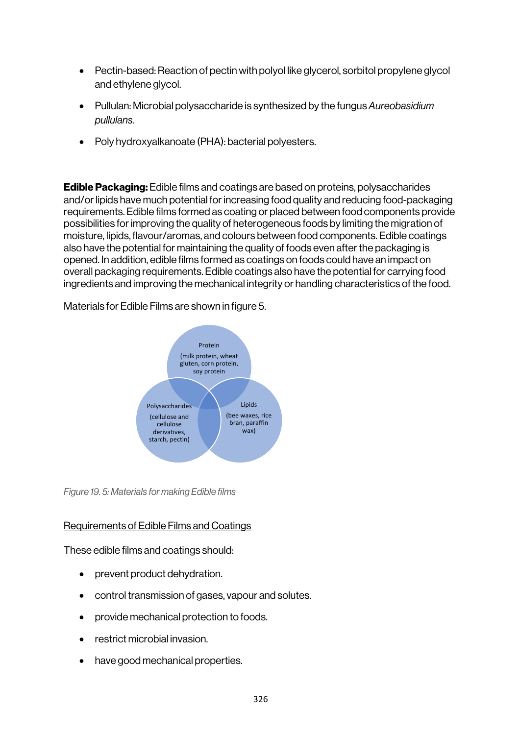- Pectin-based: Reaction of pectin with polyol like glycerol, sorbitol propylene glycol and ethylene glycol.
- Pullulan: Microbial polysaccharide is synthesized by the fungus *Aureobasidium pullulans*.
- Poly hydroxyalkanoate (PHA): bacterial polyesters.

Edible Packaging: Edible films and coatings are based on proteins, polysaccharides and/or lipids have much potential for increasing food quality and reducing food-packaging requirements. Edible films formed as coating or placed between food components provide possibilities for improving the quality of heterogeneous foods by limiting the migration of moisture, lipids, flavour/aromas, and colours between food components. Edible coatings also have the potential for maintaining the quality of foods even after the packaging is opened. In addition, edible films formed as coatings on foods could have an impact on overall packaging requirements. Edible coatings also have the potential for carrying food ingredients and improving the mechanical integrity or handling characteristics of the food.

Materials for Edible Films are shown in figure 5.



*Figure 19. 5: Materials for making Edible films*

## Requirements of Edible Films and Coatings

These edible films and coatings should:

- prevent product dehydration.
- control transmission of gases, vapour and solutes.
- provide mechanical protection to foods.
- restrict microbial invasion.
- have good mechanical properties.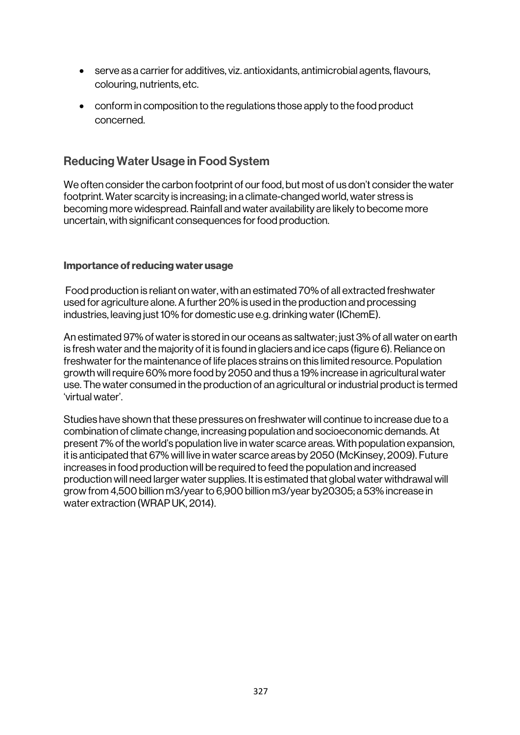- serve as a carrier for additives, viz. antioxidants, antimicrobial agents, flavours, colouring, nutrients, etc.
- conform in composition to the regulations those apply to the food product concerned.

# Reducing Water Usage in Food System

We often consider the carbon footprint of our food, but most of us don't consider the water footprint. Water scarcity is increasing; in a climate-changed world, water stress is becoming more widespread. Rainfall and water availability are likely to become more uncertain, with significant consequences for food production.

#### Importance of reducing water usage

Food production is reliant on water, with an estimated 70% of all extracted freshwater used for agriculture alone. A further 20% is used in the production and processing industries, leaving just 10% for domestic use e.g. drinking water (IChemE).

An estimated 97% of water is stored in our oceans as saltwater; just 3% of all water on earth is fresh water and the majority of it is found in glaciers and ice caps (figure 6). Reliance on freshwater for the maintenance of life places strains on this limited resource. Population growth will require 60% more food by 2050 and thus a 19% increase in agricultural water use. The water consumed in the production of an agricultural or industrial product is termed 'virtual water'.

Studies have shown that these pressures on freshwater will continue to increase due to a combination of climate change, increasing population and socioeconomic demands. At present 7% of the world's population live in water scarce areas. With population expansion, it is anticipated that 67% will live in water scarce areas by 2050 (McKinsey, 2009). Future increases in food production will be required to feed the population and increased production will need larger water supplies. It is estimated that global water withdrawal will grow from 4,500 billion m3/year to 6,900 billion m3/year by20305; a 53% increase in water extraction (WRAP UK, 2014).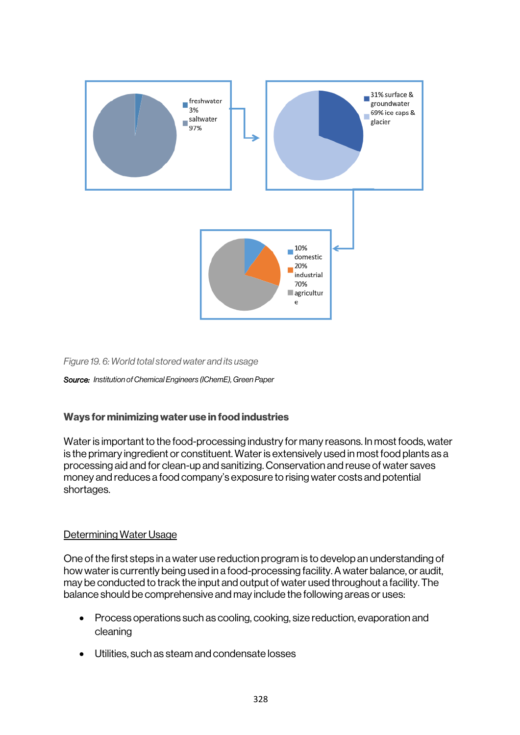

*Figure 19. 6: World total stored water and its usage*

*Source: Institution of Chemical Engineers (IChemE), Green Paper*

#### Ways for minimizing water use in food industries

Water is important to the food-processing industry for many reasons. In most foods, water is the primary ingredient or constituent. Water is extensively used in most food plants as a processing aid and for clean-up and sanitizing. Conservation and reuse of water saves money and reduces a food company's exposure to rising water costs and potential shortages.

#### Determining Water Usage

One of the first steps in a water use reduction program is to develop an understanding of how water is currently being used in a food-processing facility. A water balance, or audit, may be conducted to track the input and output of water used throughout a facility. The balance should be comprehensive and may include the following areas or uses:

- Process operations such as cooling, cooking, size reduction, evaporation and cleaning
- Utilities, such as steam and condensate losses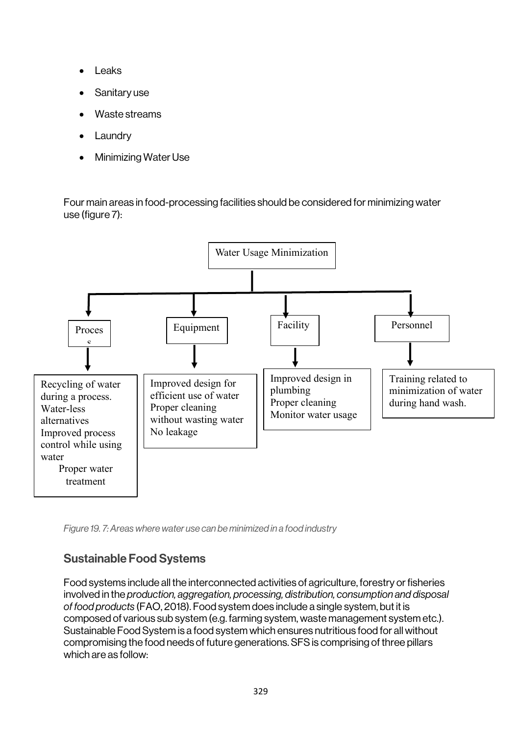- **Leaks**
- Sanitary use
- Waste streams
- Laundry
- Minimizing Water Use

Four main areas in food-processing facilities should be considered for minimizing water use (figure 7):



*Figure 19. 7: Areas where water use can be minimized in a food industry*

# Sustainable Food Systems

Food systems include all the interconnected activities of agriculture, forestry or fisheries involved in the *production, aggregation, processing, distribution, consumption and disposal of food products* (FAO, 2018). Food system does include a single system, but it is composed of various sub system (e.g. farming system, waste management system etc.). Sustainable Food System is a food system which ensures nutritious food for all without compromising the food needs of future generations. SFS is comprising of three pillars which are as follow: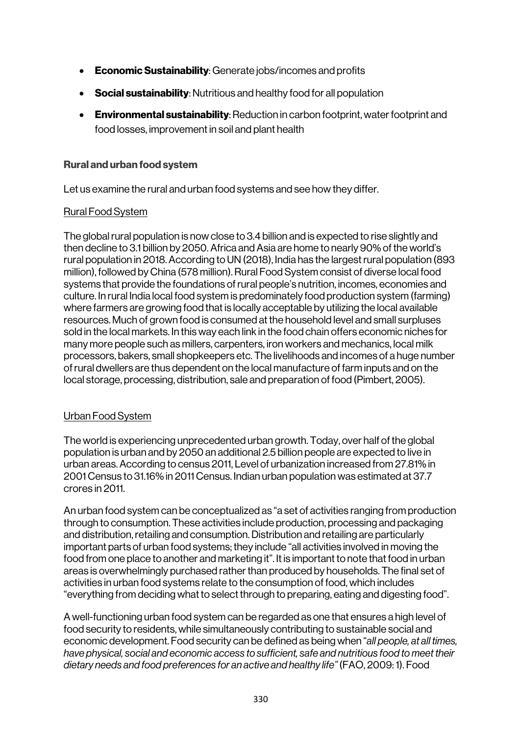- **Economic Sustainability**: Generate jobs/incomes and profits
- Social sustainability: Nutritious and healthy food for all population
- Environmental sustainability: Reduction in carbon footprint, water footprint and food losses, improvement in soil and plant health

#### Rural and urban food system

Let us examine the rural and urban food systems and see how they differ.

#### Rural Food System

The global rural population is now close to 3.4 billion and is expected to rise slightly and then decline to 3.1 billion by 2050. Africa and Asia are home to nearly 90% of the world's rural population in 2018. According to UN (2018), India has the largest rural population (893 million), followed by China (578 million). Rural Food System consist of diverse local food systems that provide the foundations of rural people's nutrition, incomes, economies and culture. In rural India local food system is predominately food production system (farming) where farmers are growing food that is locally acceptable by utilizing the local available resources. Much of grown food is consumed at the household level and small surpluses sold in the local markets. In this way each link in the food chain offers economic niches for many more people such as millers, carpenters, iron workers and mechanics, local milk processors, bakers, small shopkeepers etc. The livelihoods and incomes of a huge number of rural dwellers are thus dependent on the local manufacture of farm inputs and on the local storage, processing, distribution, sale and preparation of food (Pimbert, 2005).

## Urban Food System

The world is experiencing unprecedented urban growth. Today, over half of the global population is urban and by 2050 an additional 2.5 billion people are expected to live in urban areas. According to census 2011, Level of urbanization increased from 27.81% in 2001 Census to 31.16% in 2011 Census. Indian urban population was estimated at 37.7 crores in 2011.

An urban food system can be conceptualized as "a set of activities ranging from production through to consumption. These activities include production, processing and packaging and distribution, retailing and consumption. Distribution and retailing are particularly important parts of urban food systems; they include "all activities involved in moving the food from one place to another and marketing it". It is important to note that food in urban areas is overwhelmingly purchased rather than produced by households. The final set of activities in urban food systems relate to the consumption of food, which includes "everything from deciding what to select through to preparing, eating and digesting food".

A well-functioning urban food system can be regarded as one that ensures a high level of food security to residents, while simultaneously contributing to sustainable social and economic development. Food security can be defined as being when "*all people, at all times, have physical, social and economic access to sufficient, safe and nutritious food to meet their dietary needs and food preferences for an active and healthy life"* (FAO, 2009: 1). Food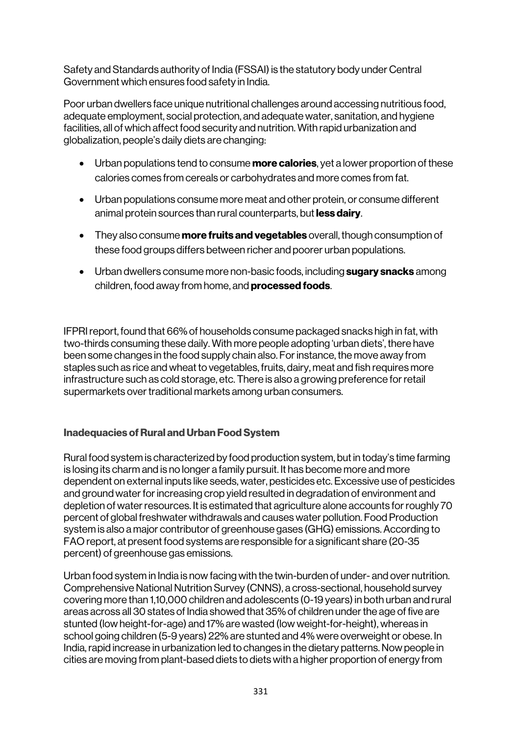Safety and Standards authority of India (FSSAI) is the statutory body under Central Government which ensures food safety in India.

Poor urban dwellers face unique nutritional challenges around accessing nutritious food, adequate employment, social protection, and adequate water, sanitation, and hygiene facilities, all of which affect food security and nutrition. With rapid urbanization and globalization, people's daily diets are changing:

- Urban populations tend to consume **more calories**, yet a lower proportion of these calories comes from cereals or carbohydrates and more comes from fat.
- Urban populations consume more meat and other protein, or consume different animal protein sources than rural counterparts, but less dairy.
- They also consume **more fruits and vegetables** overall, though consumption of these food groups differs between richer and poorer urban populations.
- Urban dwellers consume more non-basic foods, including sugary snacks among children, food away from home, and processed foods.

IFPRI report, found that 66% of households consume packaged snacks high in fat, with two-thirds consuming these daily. With more people adopting 'urban diets', there have been some changes in the food supply chain also. For instance, the move away from staples such as rice and wheat to vegetables, fruits, dairy, meat and fish requires more infrastructure such as cold storage, etc. There is also a growing preference for retail supermarkets over traditional markets among urban consumers.

## Inadequacies of Rural and Urban Food System

Rural food system is characterized by food production system, but in today's time farming is losing its charm and is no longer a family pursuit. It has become more and more dependent on external inputs like seeds, water, pesticides etc. Excessive use of pesticides and ground water for increasing crop yield resulted in degradation of environment and depletion of water resources. It is estimated that agriculture alone accounts for roughly 70 percent of global freshwater withdrawals and causes water pollution. Food Production system is also a major contributor of greenhouse gases (GHG) emissions. According to FAO report, at present food systems are responsible for a significant share (20-35 percent) of greenhouse gas emissions.

Urban food system in India is now facing with the twin-burden of under- and over nutrition. Comprehensive National Nutrition Survey (CNNS), a cross-sectional, household survey covering more than 1,10,000 children and adolescents (0-19 years) in both urban and rural areas across all 30 states of India showed that 35% of children under the age of five are stunted (low height-for-age) and 17% are wasted (low weight-for-height), whereas in school going children (5-9 years) 22% are stunted and 4% were overweight or obese. In India, rapid increase in urbanization led to changes in the dietary patterns. Now people in cities are moving from plant-based diets to diets with a higher proportion of energy from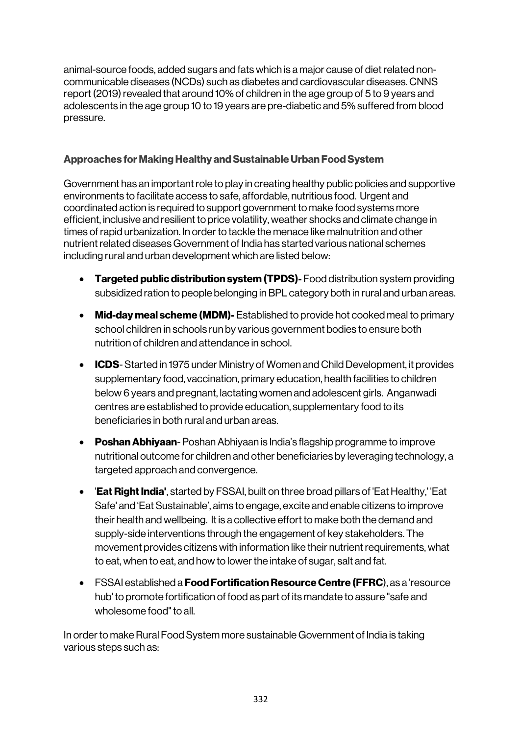animal-source foods, added sugars and fats which is a major cause of diet related noncommunicable diseases (NCDs) such as diabetes and cardiovascular diseases. CNNS report (2019) revealed that around 10% of children in the age group of 5 to 9 years and adolescents in the age group 10 to 19 years are pre-diabetic and 5% suffered from blood pressure.

## Approaches for Making Healthy and Sustainable Urban Food System

Government has an important role to play in creating healthy public policies and supportive environments to facilitate access to safe, affordable, nutritious food. Urgent and coordinated action is required to support government to make food systems more efficient, inclusive and resilient to price volatility, weather shocks and climate change in times of rapid urbanization. In order to tackle the menace like malnutrition and other nutrient related diseases Government of India has started various national schemes including rural and urban development which are listed below:

- Targeted public distribution system (TPDS)- Food distribution system providing subsidized ration to people belonging in BPL category both in rural and urban areas.
- Mid-day meal scheme (MDM)- Established to provide hot cooked meal to primary school children in schools run by various government bodies to ensure both nutrition of children and attendance in school.
- ICDS- Started in 1975 under Ministry of Women and Child Development, it provides supplementary food, vaccination, primary education, health facilities to children below 6 years and pregnant, lactating women and adolescent girls. Anganwadi centres are established to provide education, supplementary food to its beneficiaries in both rural and urban areas.
- Poshan Abhiyaan-Poshan Abhiyaan is India's flagship programme to improve nutritional outcome for children and other beneficiaries by leveraging technology, a targeted approach and convergence.
- Eat Right India', started by FSSAI, built on three broad pillars of 'Eat Healthy,' 'Eat Safe' and 'Eat Sustainable', aims to engage, excite and enable citizens to improve their health and wellbeing. It is a collective effort to make both the demand and supply-side interventions through the engagement of key stakeholders. The movement provides citizens with information like their nutrient requirements, what to eat, when to eat, and how to lower the intake of sugar, salt and fat.
- FSSAI established a **Food Fortification Resource Centre (FFRC**), as a 'resource hub' to promote fortification of food as part of its mandate to assure "safe and wholesome food" to all.

In order to make Rural Food System more sustainable Government of India is taking various steps such as: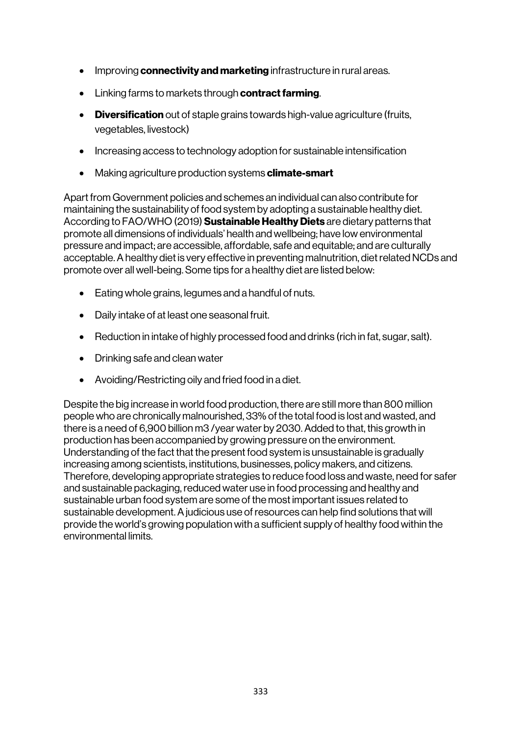- Improving **connectivity and marketing** infrastructure in rural areas.
- Linking farms to markets through **contract farming**.
- Diversification out of staple grains towards high-value agriculture (fruits, vegetables, livestock)
- Increasing access to technology adoption for sustainable intensification
- Making agriculture production systems **climate-smart**

Apart from Government policies and schemes an individual can also contribute for maintaining the sustainability of food system by adopting a sustainable healthy diet. According to FAO/WHO (2019) **Sustainable Healthy Diets** are dietary patterns that promote all dimensions of individuals' health and wellbeing; have low environmental pressure and impact; are accessible, affordable, safe and equitable; and are culturally acceptable. A healthy diet is very effective in preventing malnutrition, diet related NCDs and promote over all well-being. Some tips for a healthy diet are listed below:

- Eating whole grains, legumes and a handful of nuts.
- Daily intake of at least one seasonal fruit.
- Reduction in intake of highly processed food and drinks (rich in fat, sugar, salt).
- Drinking safe and clean water
- Avoiding/Restricting oily and fried food in a diet.

Despite the big increase in world food production, there are still more than 800 million people who are chronically malnourished, 33% of the total food is lost and wasted, and there is a need of 6,900 billion m3 /year water by 2030. Added to that, this growth in production has been accompanied by growing pressure on the environment. Understanding of the fact that the present food system is unsustainable is gradually increasing among scientists, institutions, businesses, policy makers, and citizens. Therefore, developing appropriate strategies to reduce food loss and waste, need for safer and sustainable packaging, reduced water use in food processing and healthy and sustainable urban food system are some of the most important issues related to sustainable development. A judicious use of resources can help find solutions that will provide the world's growing population with a sufficient supply of healthy food within the environmental limits.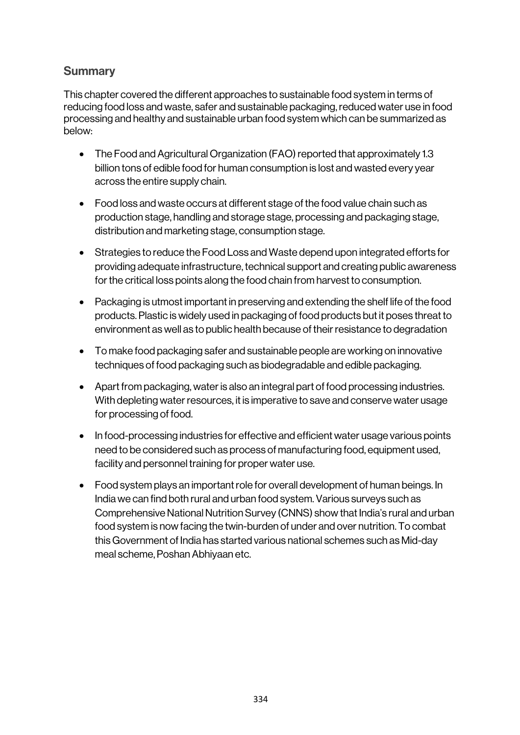# **Summary**

This chapter covered the different approaches to sustainable food system in terms of reducing food loss and waste, safer and sustainable packaging, reduced water use in food processing and healthy and sustainable urban food system which can be summarized as below:

- The Food and Agricultural Organization (FAO) reported that approximately 1.3 billion tons of edible food for human consumption is lost and wasted every year across the entire supply chain.
- Food loss and waste occurs at different stage of the food value chain such as production stage, handling and storage stage, processing and packaging stage, distribution and marketing stage, consumption stage.
- Strategies to reduce the Food Loss and Waste depend upon integrated efforts for providing adequate infrastructure, technical support and creating public awareness for the critical loss points along the food chain from harvest to consumption.
- Packaging is utmost important in preserving and extending the shelf life of the food products. Plastic is widely used in packaging of food products but it poses threat to environment as well as to public health because of their resistance to degradation
- To make food packaging safer and sustainable people are working on innovative techniques of food packaging such as biodegradable and edible packaging.
- Apart from packaging, water is also an integral part of food processing industries. With depleting water resources, it is imperative to save and conserve water usage for processing of food.
- In food-processing industries for effective and efficient water usage various points need to be considered such as process of manufacturing food, equipment used, facility and personnel training for proper water use.
- Food system plays an important role for overall development of human beings. In India we can find both rural and urban food system. Various surveys such as Comprehensive National Nutrition Survey (CNNS) show that India's rural and urban food system is now facing the twin-burden of under and over nutrition. To combat this Government of India has started various national schemes such as Mid-day meal scheme, Poshan Abhiyaan etc.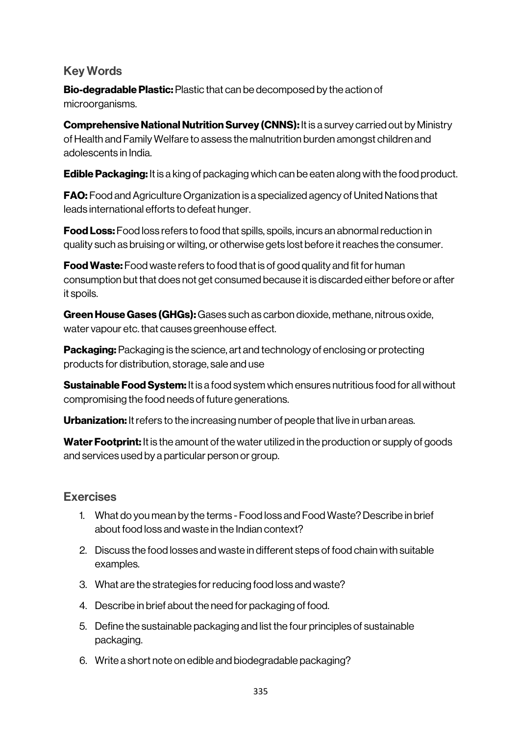# Key Words

Bio-degradable Plastic: Plastic that can be decomposed by the action of microorganisms.

**Comprehensive National Nutrition Survey (CNNS):** It is a survey carried out by Ministry of Health and Family Welfare to assess the malnutrition burden amongst children and adolescents in India.

**Edible Packaging:** It is a king of packaging which can be eaten along with the food product.

FAO: Food and Agriculture Organization is a specialized agency of United Nations that leads international efforts to defeat hunger.

**Food Loss:** Food loss refers to food that spills, spoils, incurs an abnormal reduction in quality such as bruising or wilting, or otherwise gets lost before it reaches the consumer.

**Food Waste:** Food waste refers to food that is of good quality and fit for human consumption but that does not get consumed because it is discarded either before or after it spoils.

Green House Gases (GHGs): Gases such as carbon dioxide, methane, nitrous oxide, water vapour etc. that causes greenhouse effect.

Packaging: Packaging is the science, art and technology of enclosing or protecting products for distribution, storage, sale and use

**Sustainable Food System:** It is a food system which ensures nutritious food for all without compromising the food needs of future generations.

Urbanization: It refers to the increasing number of people that live in urban areas.

Water Footprint: It is the amount of the water utilized in the production or supply of goods and services used by a particular person or group.

## Exercises

- 1. What do you mean by the terms Food loss and Food Waste? Describe in brief about food loss and waste in the Indian context?
- 2. Discuss the food losses and waste in different steps of food chain with suitable examples.
- 3. What are the strategies for reducing food loss and waste?
- 4. Describe in brief about the need for packaging of food.
- 5. Define the sustainable packaging and list the four principles of sustainable packaging.
- 6. Write a short note on edible and biodegradable packaging?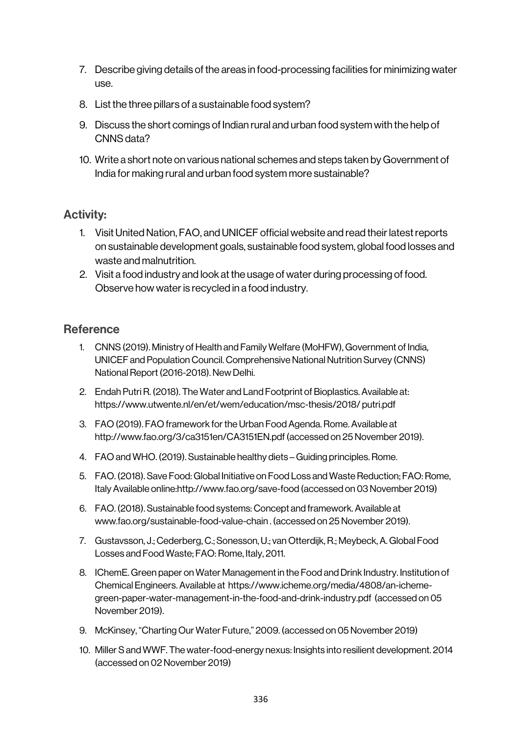- 7. Describe giving details of the areas in food-processing facilities for minimizing water use.
- 8. List the three pillars of a sustainable food system?
- 9. Discuss the short comings of Indian rural and urban food system with the help of CNNS data?
- 10. Write a short note on various national schemes and steps taken by Government of India for making rural and urban food system more sustainable?

## Activity:

- 1. Visit United Nation, FAO, and UNICEF official website and read their latest reports on sustainable development goals, sustainable food system, global food losses and waste and malnutrition.
- 2. Visit a food industry and look at the usage of water during processing of food. Observe how water is recycled in a food industry.

## **Reference**

- 1. CNNS (2019). Ministry of Health and Family Welfare (MoHFW), Government of India, UNICEF and Population Council. Comprehensive National Nutrition Survey (CNNS) National Report (2016-2018). New Delhi.
- 2. Endah Putri R. (2018). The Water and Land Footprint of Bioplastics. Available at: https://www.utwente.nl/en/et/wem/education/msc-thesis/2018/ putri.pdf
- 3. FAO (2019). FAO framework for the Urban Food Agenda. Rome. Available at http://www.fao.org/3/ca3151en/CA3151EN.pdf (accessed on 25 November 2019).
- 4. FAO and WHO. (2019). Sustainable healthy diets Guiding principles. Rome.
- 5. FAO. (2018). Save Food: Global Initiative on Food Loss and Waste Reduction; FAO: Rome, Italy Available online:http://www.fao.org/save-food (accessed on 03 November 2019)
- 6. FAO. (2018). Sustainable food systems: Concept and framework. Available at www.fao.org/sustainable-food-value-chain . (accessed on 25 November 2019).
- 7. Gustavsson, J.; Cederberg, C.; Sonesson, U.; van Otterdijk, R.; Meybeck, A. Global Food Losses and Food Waste; FAO: Rome, Italy, 2011.
- 8. IChemE. Green paper on Water Management in the Food and Drink Industry. Institution of Chemical Engineers. Available at https://www.icheme.org/media/4808/an-ichemegreen-paper-water-management-in-the-food-and-drink-industry.pdf (accessed on 05 November 2019).
- 9. McKinsey, "Charting Our Water Future," 2009. (accessed on 05 November 2019)
- 10. Miller S and WWF. The water-food-energy nexus: Insights into resilient development. 2014 (accessed on 02 November 2019)